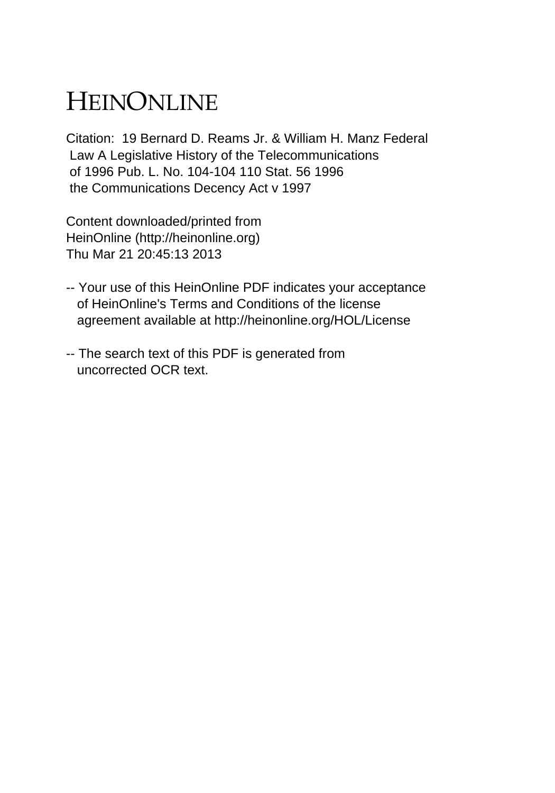## HEINONLINE

Citation: 19 Bernard D. Reams Jr. & William H. Manz Federal Law A Legislative History of the Telecommunications of 1996 Pub. L. No. 104-104 110 Stat. 56 1996 the Communications Decency Act v 1997

Content downloaded/printed from HeinOnline (http://heinonline.org) Thu Mar 21 20:45:13 2013

- -- Your use of this HeinOnline PDF indicates your acceptance of HeinOnline's Terms and Conditions of the license agreement available at http://heinonline.org/HOL/License
- -- The search text of this PDF is generated from uncorrected OCR text.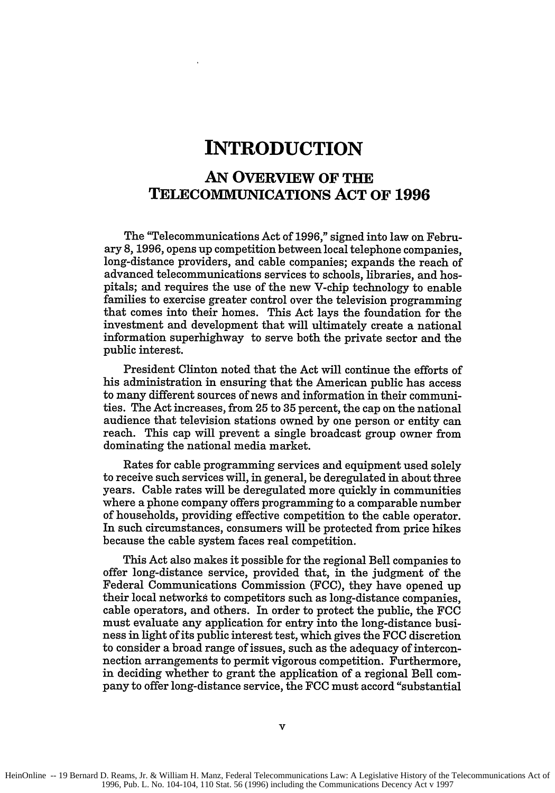## **INTRODUCTION**

## **AN OVERVIEW OF THE TELECOMMUNIcATIoNS ACT OF 1996**

The "Telecommunications Act of **1996,"** signed into law on February **8, 1996,** opens up competition between local telephone companies, long-distance providers, and cable companies; expands the reach of advanced telecommunications services to schools, libraries, and hospitals; and requires the use of the new V-chip technology to enable families to exercise greater control over the television programming that comes into their homes. This Act lays the foundation for the investment and development that will ultimately create a national information superhighway to serve both the private sector and the public interest.

President Clinton noted that the Act will continue the efforts of his administration in ensuring that the American public has access to many different sources of news and information in their communities. The Act increases, from **25** to **35** percent, the cap on the national audience that television stations owned **by** one person or entity can reach. This cap will prevent a single broadcast group owner from dominating the national media market.

Rates for cable programming services and equipment used solely to receive such services will, in general, be deregulated in about three years. Cable rates will be deregulated more quickly in communities where a phone company offers programming to a comparable number of households, providing effective competition to the cable operator. In such circumstances, consumers will be protected from price hikes because the cable system faces real competition.

This Act also makes it possible for the regional Bell companies to offer long-distance service, provided that, in the judgment of the Federal Communications Commission **(FCC),** they have opened up their local networks to competitors such as long-distance companies, cable operators, and others. In order to protect the public, the **FCC** must evaluate any application for entry into the long-distance business in light of its public interest test, which gives the **FCC** discretion to consider a broad range of issues, such as the adequacy of interconnection arrangements to permit vigorous competition. Furthermore, in deciding whether to grant the application of a regional Bell company to offer long-distance service, the **FCC** must accord "substantial